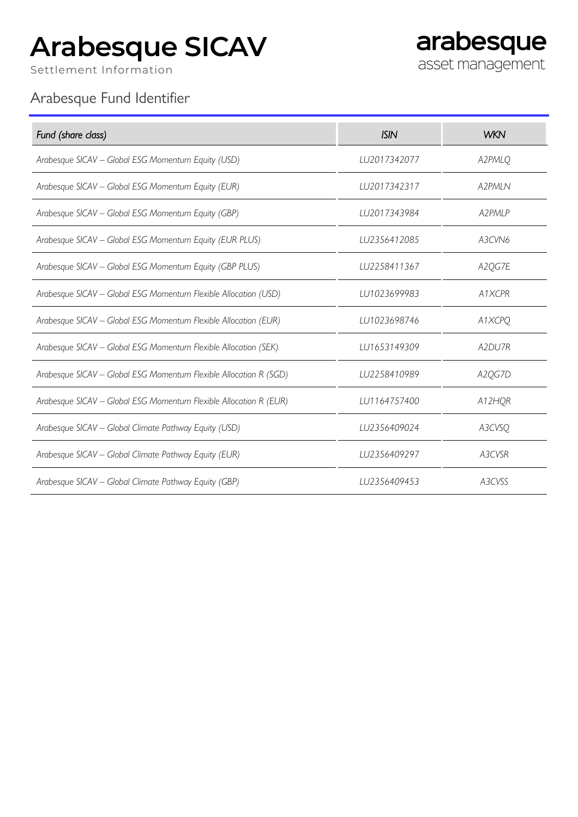## **Arabesque SICAV**

Settlement Information

arabesque asset management

## Arabesque Fund Identifier

| Fund (share class)                                                | <b>ISIN</b>  | <b>WKN</b> |
|-------------------------------------------------------------------|--------------|------------|
| Arabesque SICAV - Global ESG Momentum Equity (USD)                | LU2017342077 | A2PMLQ     |
| Arabesque SICAV - Global ESG Momentum Equity (EUR)                | LU2017342317 | A2PMLN     |
| Arabesque SICAV - Global ESG Momentum Equity (GBP)                | LU2017343984 | A2PMLP     |
| Arabesque SICAV - Global ESG Momentum Equity (EUR PLUS)           | LU2356412085 | A3CVN6     |
| Arabesque SICAV - Global ESG Momentum Equity (GBP PLUS)           | LU2258411367 | A2QG7E     |
| Arabesque SICAV - Global ESG Momentum Flexible Allocation (USD)   | LU1023699983 | A1XCPR     |
| Arabesque SICAV - Global ESG Momentum Flexible Allocation (EUR)   | LU1023698746 | A1XCPQ     |
| Arabesque SICAV - Global ESG Momentum Flexible Allocation (SEK)   | LU1653149309 | A2DU7R     |
| Arabesque SICAV - Global ESG Momentum Flexible Allocation R (SGD) | LU2258410989 | A2QG7D     |
| Arabesque SICAV - Global ESG Momentum Flexible Allocation R (EUR) | LU1164757400 | A12HQR     |
| Arabesque SICAV - Global Climate Pathway Equity (USD)             | LU2356409024 | A3CVSQ     |
| Arabesque SICAV - Global Climate Pathway Equity (EUR)             | LU2356409297 | A3CVSR     |
| Arabesque SICAV - Global Climate Pathway Equity (GBP)             | LU2356409453 | A3CVSS     |